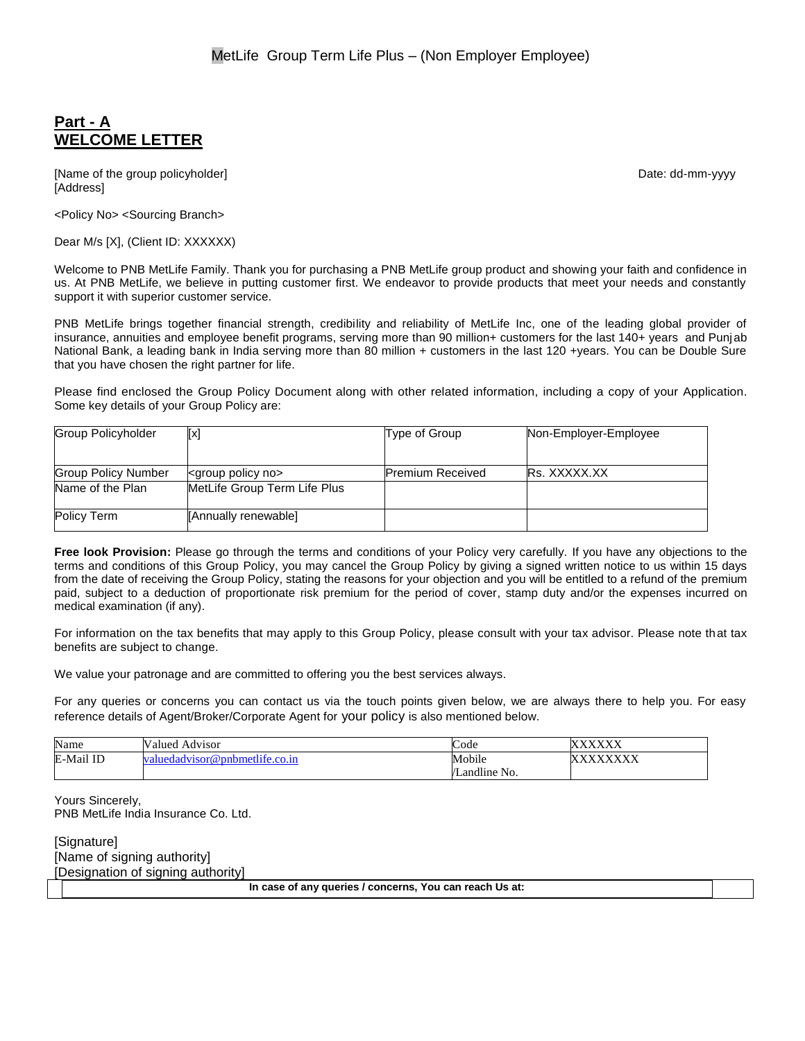# **Part - A WELCOME LETTER**

[Name of the group policyholder] example and the group of the group policyholder] and the group policyholder of the group of the group of the group of the group of the group of the group of the group of the group of the gr [Address]

<Policy No> <Sourcing Branch>

Dear M/s [X], (Client ID: XXXXXX)

Welcome to PNB MetLife Family. Thank you for purchasing a PNB MetLife group product and showing your faith and confidence in us. At PNB MetLife, we believe in putting customer first. We endeavor to provide products that meet your needs and constantly support it with superior customer service.

PNB MetLife brings together financial strength, credibility and reliability of MetLife Inc, one of the leading global provider of insurance, annuities and employee benefit programs, serving more than 90 million+ customers for the last 140+ years and Punjab National Bank, a leading bank in India serving more than 80 million + customers in the last 120 +years. You can be Double Sure that you have chosen the right partner for life.

Please find enclosed the Group Policy Document along with other related information, including a copy of your Application. Some key details of your Group Policy are:

| <b>Group Policyholder</b>  | Ixl                             | Type of Group           | Non-Employer-Employee |
|----------------------------|---------------------------------|-------------------------|-----------------------|
|                            |                                 |                         |                       |
| <b>Group Policy Number</b> | <group no="" policy=""></group> | <b>Premium Received</b> | <b>Rs. XXXXX.XX</b>   |
| Name of the Plan           | MetLife Group Term Life Plus    |                         |                       |
| Policy Term                | [Annually renewable]            |                         |                       |

**Free look Provision:** Please go through the terms and conditions of your Policy very carefully. If you have any objections to the terms and conditions of this Group Policy, you may cancel the Group Policy by giving a signed written notice to us within 15 days from the date of receiving the Group Policy, stating the reasons for your objection and you will be entitled to a refund of the premium paid, subject to a deduction of proportionate risk premium for the period of cover, stamp duty and/or the expenses incurred on medical examination (if any).

For information on the tax benefits that may apply to this Group Policy, please consult with your tax advisor. Please note that tax benefits are subject to change.

We value your patronage and are committed to offering you the best services always.

For any queries or concerns you can contact us via the touch points given below, we are always there to help you. For easy reference details of Agent/Broker/Corporate Agent for your policy is also mentioned below.

| Name      | Valued.<br>Advisor              | Code                                      | <b>VVVVVV</b><br>$\lambda$<br>$\Delta\Delta\Delta\Delta$ |
|-----------|---------------------------------|-------------------------------------------|----------------------------------------------------------|
| E-Mail ID | r@pnbmetlife.co.in<br>dadvisori | Mobile                                    | <b>VVVVVVVV</b><br>$\Delta \Delta \Delta$                |
|           |                                 | $\cdots$<br>$\mathbf{v}$<br>'Landline No. |                                                          |

Yours Sincerely, PNB MetLife India Insurance Co. Ltd.

[Signature] [Name of signing authority] [Designation of signing authority]

**In case of any queries / concerns, You can reach Us at:**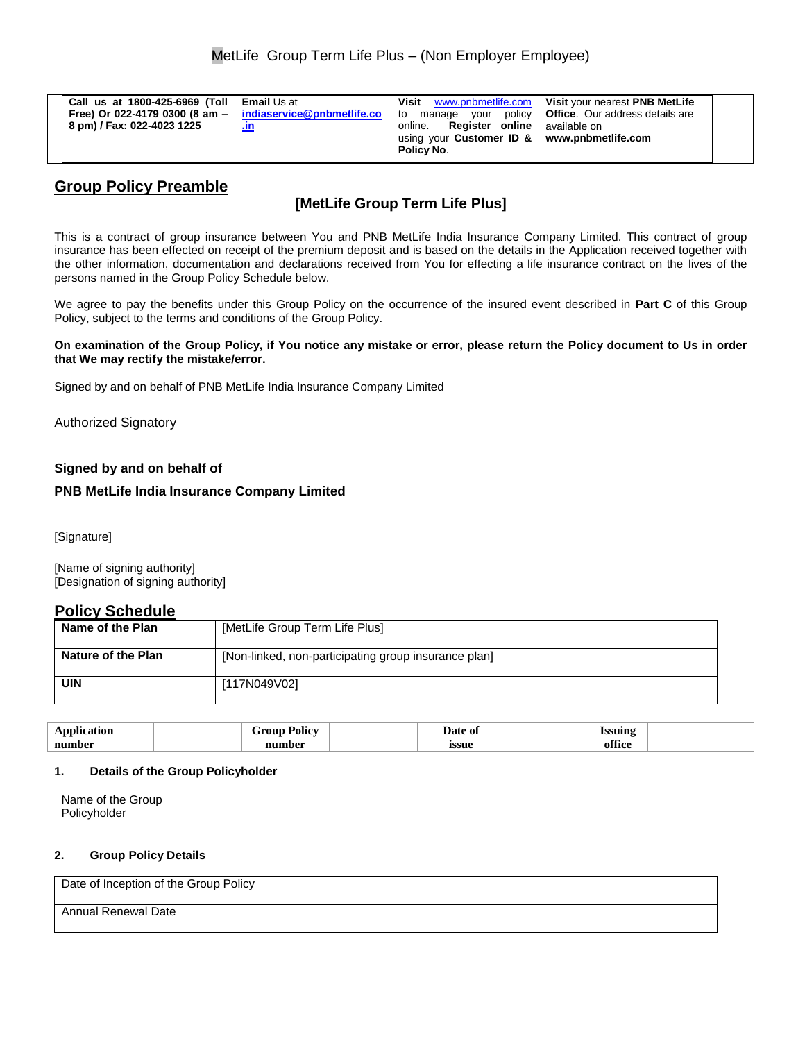# **Group Policy Preamble**

# **[MetLife Group Term Life Plus]**

This is a contract of group insurance between You and PNB MetLife India Insurance Company Limited. This contract of group insurance has been effected on receipt of the premium deposit and is based on the details in the Application received together with the other information, documentation and declarations received from You for effecting a life insurance contract on the lives of the persons named in the Group Policy Schedule below.

We agree to pay the benefits under this Group Policy on the occurrence of the insured event described in **Part C** of this Group Policy, subject to the terms and conditions of the Group Policy.

**On examination of the Group Policy, if You notice any mistake or error, please return the Policy document to Us in order that We may rectify the mistake/error.**

Signed by and on behalf of PNB MetLife India Insurance Company Limited

Authorized Signatory

## **Signed by and on behalf of**

### **PNB MetLife India Insurance Company Limited**

[Signature]

[Name of signing authority] [Designation of signing authority]

## **Policy Schedule**

| Name of the Plan   | [MetLife Group Term Life Plus]                       |
|--------------------|------------------------------------------------------|
| Nature of the Plan | [Non-linked, non-participating group insurance plan] |
| <b>UIN</b>         | [117N049V02]                                         |

| nr.                                       | $-$<br>'olıcv<br>. | Date of | <b>Issuing</b><br>100 L |  |
|-------------------------------------------|--------------------|---------|-------------------------|--|
| the contract of the contract of<br>number |                    | issue   | 00<br>,00<br>.          |  |

#### **1. Details of the Group Policyholder**

Name of the Group Policyholder

### **2. Group Policy Details**

| Date of Inception of the Group Policy |  |
|---------------------------------------|--|
| Annual Renewal Date                   |  |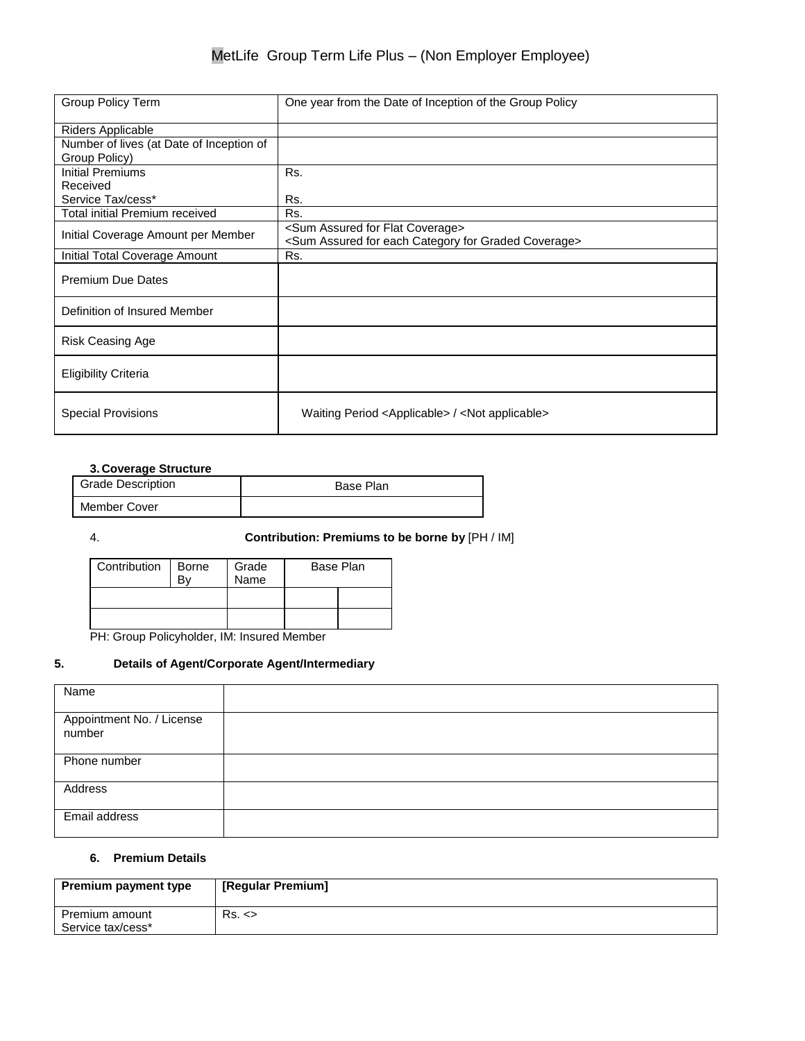| Group Policy Term                        | One year from the Date of Inception of the Group Policy                                                                       |
|------------------------------------------|-------------------------------------------------------------------------------------------------------------------------------|
| Riders Applicable                        |                                                                                                                               |
| Number of lives (at Date of Inception of |                                                                                                                               |
| Group Policy)                            |                                                                                                                               |
| <b>Initial Premiums</b>                  | Rs.                                                                                                                           |
| Received                                 |                                                                                                                               |
| Service Tax/cess*                        | Rs.                                                                                                                           |
| Total initial Premium received           | Rs.                                                                                                                           |
| Initial Coverage Amount per Member       | <sum assured="" coverage="" flat="" for=""><br/><sum assured="" category="" coverage="" each="" for="" graded=""></sum></sum> |
| Initial Total Coverage Amount            | Rs.                                                                                                                           |
| <b>Premium Due Dates</b>                 |                                                                                                                               |
| Definition of Insured Member             |                                                                                                                               |
| <b>Risk Ceasing Age</b>                  |                                                                                                                               |
| <b>Eligibility Criteria</b>              |                                                                                                                               |
| <b>Special Provisions</b>                | Waiting Period <applicable> / <not applicable=""></not></applicable>                                                          |

### **3. Coverage Structure**

| <b>Grade Description</b> | Base Plan |
|--------------------------|-----------|
| Member Cover             |           |

4. **Contribution: Premiums to be borne by** [PH / IM]

| Contribution | <b>Borne</b> | Grade<br>Name | Base Plan |
|--------------|--------------|---------------|-----------|
|              |              |               |           |
|              |              |               |           |
|              |              |               |           |

PH: Group Policyholder, IM: Insured Member

## **5. Details of Agent/Corporate Agent/Intermediary**

| Name                                |  |
|-------------------------------------|--|
| Appointment No. / License<br>number |  |
| Phone number                        |  |
| Address                             |  |
| Email address                       |  |

### **6. Premium Details**

| <b>Premium payment type</b>         | [Regular Premium] |
|-------------------------------------|-------------------|
| Premium amount<br>Service tax/cess* | Rs. <             |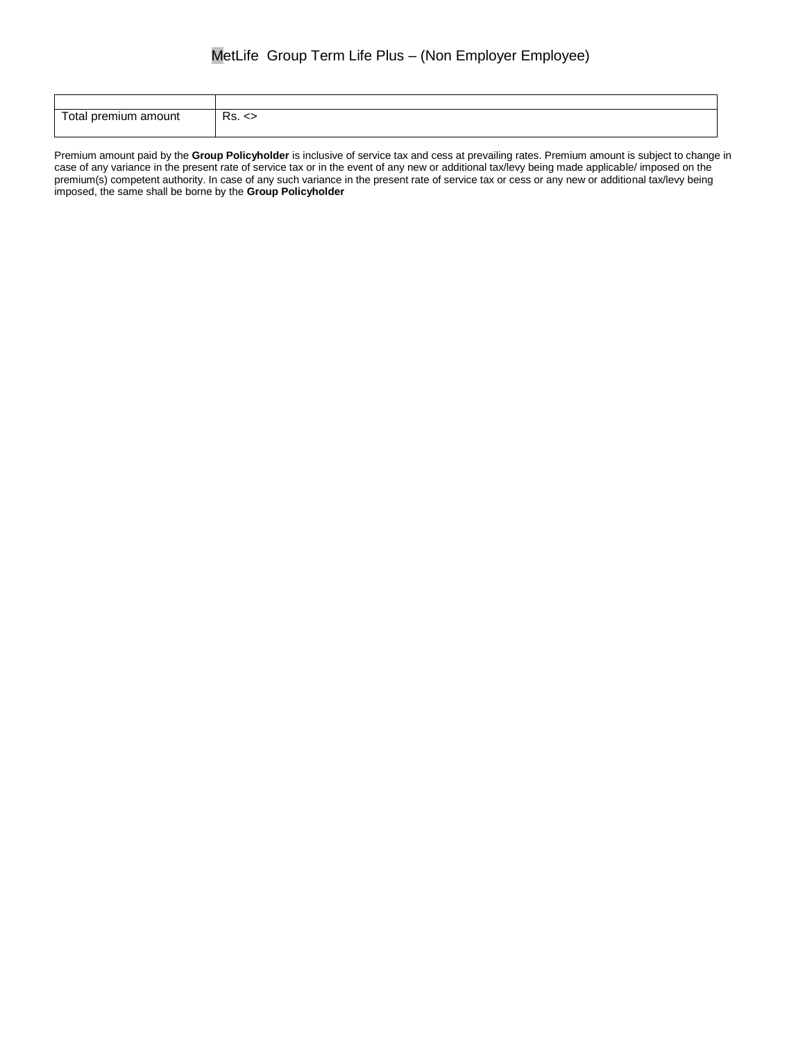| Total premium amount | De<br>- ∧s. <> |
|----------------------|----------------|

Premium amount paid by the **Group Policyholder** is inclusive of service tax and cess at prevailing rates. Premium amount is subject to change in case of any variance in the present rate of service tax or in the event of any new or additional tax/levy being made applicable/ imposed on the premium(s) competent authority. In case of any such variance in the present rate of service tax or cess or any new or additional tax/levy being imposed, the same shall be borne by the **Group Policyholder**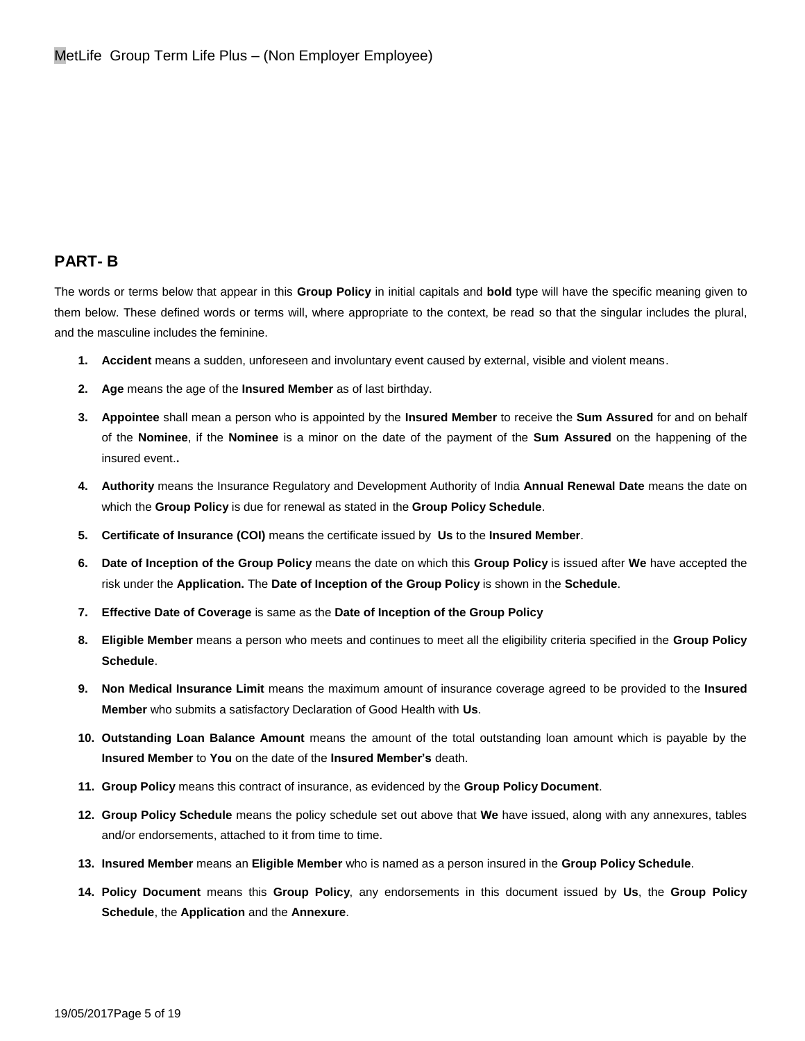# **PART- B**

The words or terms below that appear in this **Group Policy** in initial capitals and **bold** type will have the specific meaning given to them below. These defined words or terms will, where appropriate to the context, be read so that the singular includes the plural, and the masculine includes the feminine.

- **1. Accident** means a sudden, unforeseen and involuntary event caused by external, visible and violent means.
- **2. Age** means the age of the **Insured Member** as of last birthday.
- **3. Appointee** shall mean a person who is appointed by the **Insured Member** to receive the **Sum Assured** for and on behalf of the **Nominee**, if the **Nominee** is a minor on the date of the payment of the **Sum Assured** on the happening of the insured event.**.**
- **4. Authority** means the Insurance Regulatory and Development Authority of India **Annual Renewal Date** means the date on which the **Group Policy** is due for renewal as stated in the **Group Policy Schedule**.
- **5. Certificate of Insurance (COI)** means the certificate issued by **Us** to the **Insured Member**.
- **6. Date of Inception of the Group Policy** means the date on which this **Group Policy** is issued after **We** have accepted the risk under the **Application.** The **Date of Inception of the Group Policy** is shown in the **Schedule**.
- **7. Effective Date of Coverage** is same as the **Date of Inception of the Group Policy**
- **8. Eligible Member** means a person who meets and continues to meet all the eligibility criteria specified in the **Group Policy Schedule**.
- **9. Non Medical Insurance Limit** means the maximum amount of insurance coverage agreed to be provided to the **Insured Member** who submits a satisfactory Declaration of Good Health with **Us**.
- **10. Outstanding Loan Balance Amount** means the amount of the total outstanding loan amount which is payable by the **Insured Member** to **You** on the date of the **Insured Member's** death.
- **11. Group Policy** means this contract of insurance, as evidenced by the **Group Policy Document**.
- **12. Group Policy Schedule** means the policy schedule set out above that **We** have issued, along with any annexures, tables and/or endorsements, attached to it from time to time.
- **13. Insured Member** means an **Eligible Member** who is named as a person insured in the **Group Policy Schedule**.
- **14. Policy Document** means this **Group Policy**, any endorsements in this document issued by **Us**, the **Group Policy Schedule**, the **Application** and the **Annexure**.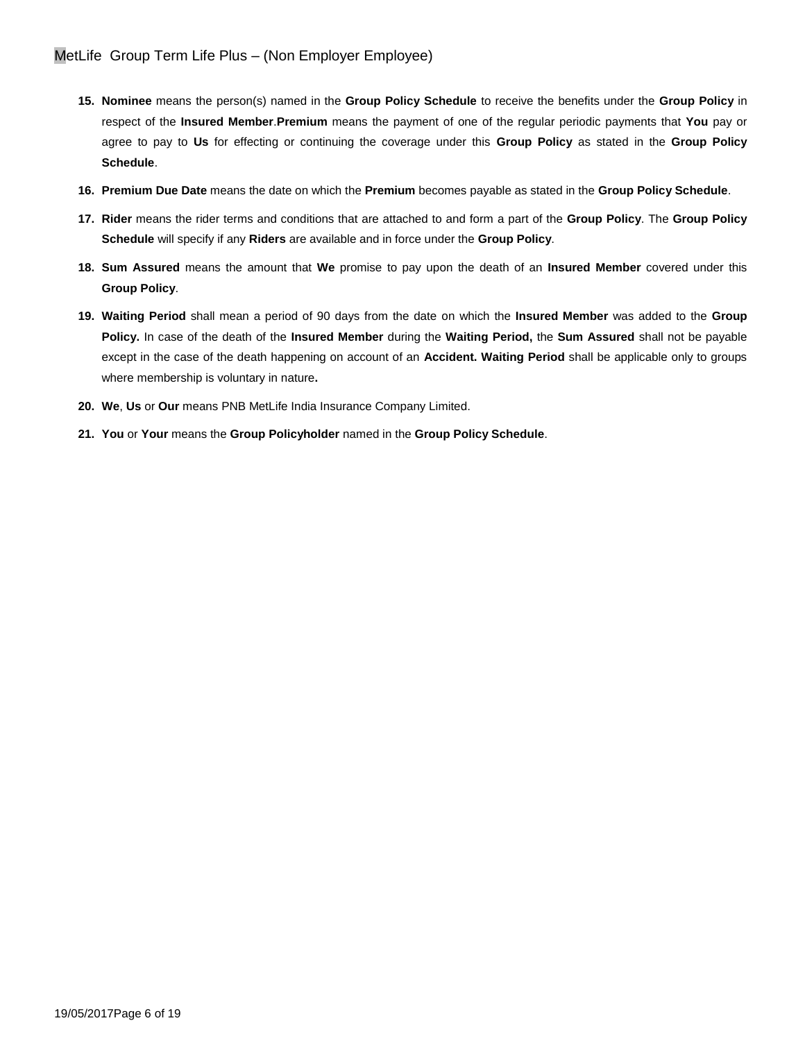- **15. Nominee** means the person(s) named in the **Group Policy Schedule** to receive the benefits under the **Group Policy** in respect of the **Insured Member**.**Premium** means the payment of one of the regular periodic payments that **You** pay or agree to pay to **Us** for effecting or continuing the coverage under this **Group Policy** as stated in the **Group Policy Schedule**.
- **16. Premium Due Date** means the date on which the **Premium** becomes payable as stated in the **Group Policy Schedule**.
- **17. Rider** means the rider terms and conditions that are attached to and form a part of the **Group Policy**. The **Group Policy Schedule** will specify if any **Riders** are available and in force under the **Group Policy**.
- **18. Sum Assured** means the amount that **We** promise to pay upon the death of an **Insured Member** covered under this **Group Policy**.
- **19. Waiting Period** shall mean a period of 90 days from the date on which the **Insured Member** was added to the **Group Policy.** In case of the death of the **Insured Member** during the **Waiting Period,** the **Sum Assured** shall not be payable except in the case of the death happening on account of an **Accident. Waiting Period** shall be applicable only to groups where membership is voluntary in nature**.**
- **20. We**, **Us** or **Our** means PNB MetLife India Insurance Company Limited.
- **21. You** or **Your** means the **Group Policyholder** named in the **Group Policy Schedule**.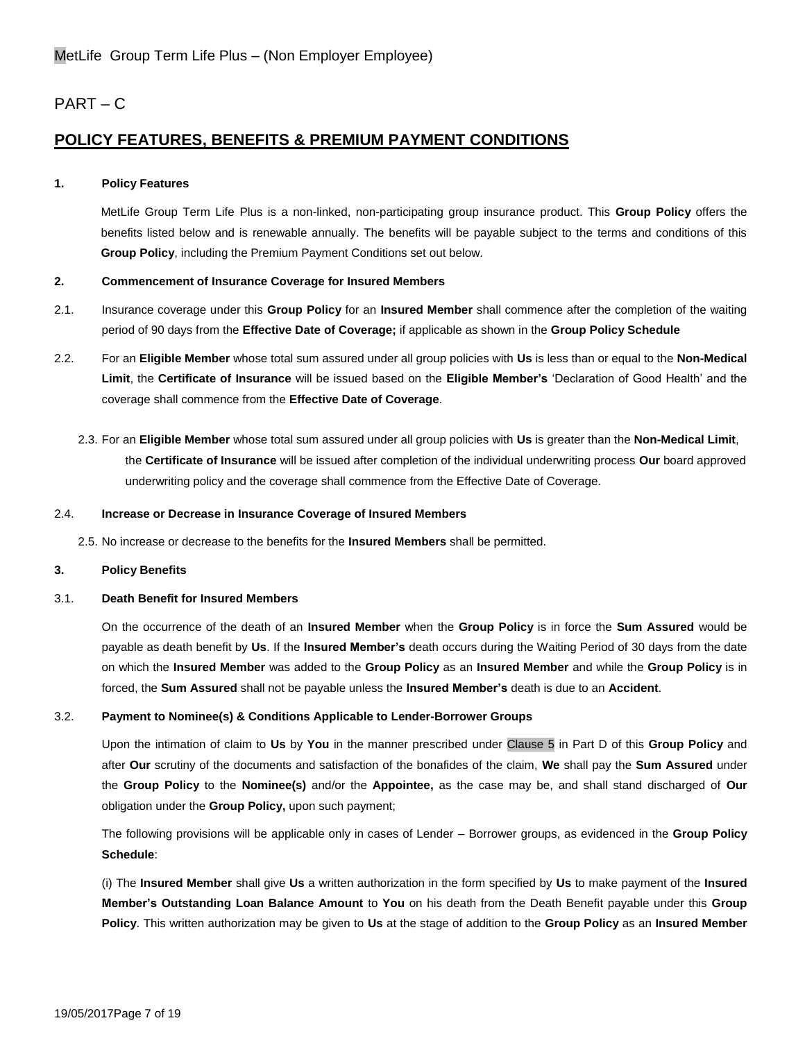# PART – C

# **POLICY FEATURES, BENEFITS & PREMIUM PAYMENT CONDITIONS**

### **1. Policy Features**

MetLife Group Term Life Plus is a non-linked, non-participating group insurance product. This **Group Policy** offers the benefits listed below and is renewable annually. The benefits will be payable subject to the terms and conditions of this **Group Policy**, including the Premium Payment Conditions set out below.

### **2. Commencement of Insurance Coverage for Insured Members**

- 2.1. Insurance coverage under this **Group Policy** for an **Insured Member** shall commence after the completion of the waiting period of 90 days from the **Effective Date of Coverage;** if applicable as shown in the **Group Policy Schedule**
- 2.2. For an **Eligible Member** whose total sum assured under all group policies with **Us** is less than or equal to the **Non-Medical Limit**, the **Certificate of Insurance** will be issued based on the **Eligible Member's** 'Declaration of Good Health' and the coverage shall commence from the **Effective Date of Coverage**.
	- 2.3. For an **Eligible Member** whose total sum assured under all group policies with **Us** is greater than the **Non-Medical Limit**, the **Certificate of Insurance** will be issued after completion of the individual underwriting process **Our** board approved underwriting policy and the coverage shall commence from the Effective Date of Coverage.

#### 2.4. **Increase or Decrease in Insurance Coverage of Insured Members**

2.5. No increase or decrease to the benefits for the **Insured Members** shall be permitted.

#### **3. Policy Benefits**

#### 3.1. **Death Benefit for Insured Members**

On the occurrence of the death of an **Insured Member** when the **Group Policy** is in force the **Sum Assured** would be payable as death benefit by **Us**. If the **Insured Member's** death occurs during the Waiting Period of 30 days from the date on which the **Insured Member** was added to the **Group Policy** as an **Insured Member** and while the **Group Policy** is in forced, the **Sum Assured** shall not be payable unless the **Insured Member's** death is due to an **Accident**.

### 3.2. **Payment to Nominee(s) & Conditions Applicable to Lender-Borrower Groups**

Upon the intimation of claim to **Us** by **You** in the manner prescribed under Clause 5 in Part D of this **Group Policy** and after **Our** scrutiny of the documents and satisfaction of the bonafides of the claim, **We** shall pay the **Sum Assured** under the **Group Policy** to the **Nominee(s)** and/or the **Appointee,** as the case may be, and shall stand discharged of **Our**  obligation under the **Group Policy,** upon such payment;

The following provisions will be applicable only in cases of Lender – Borrower groups, as evidenced in the **Group Policy Schedule**:

(i) The **Insured Member** shall give **Us** a written authorization in the form specified by **Us** to make payment of the **Insured Member's Outstanding Loan Balance Amount** to **You** on his death from the Death Benefit payable under this **Group Policy**. This written authorization may be given to **Us** at the stage of addition to the **Group Policy** as an **Insured Member**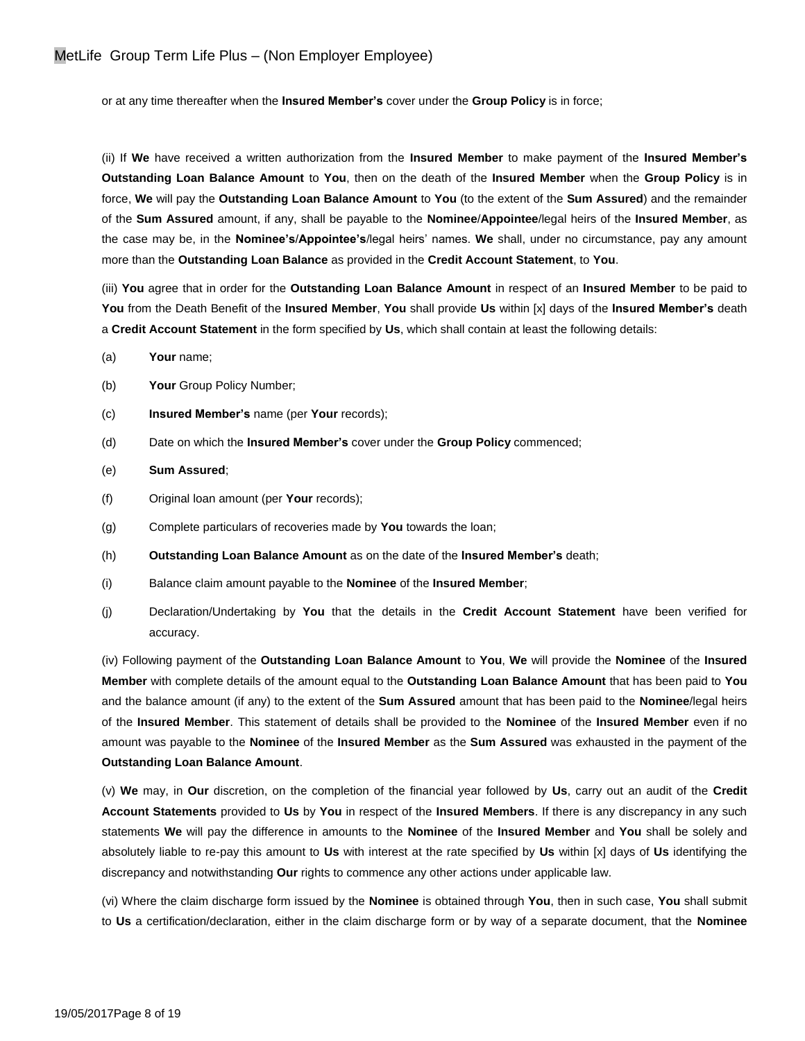or at any time thereafter when the **Insured Member's** cover under the **Group Policy** is in force;

(ii) If **We** have received a written authorization from the **Insured Member** to make payment of the **Insured Member's Outstanding Loan Balance Amount** to **You**, then on the death of the **Insured Member** when the **Group Policy** is in force, **We** will pay the **Outstanding Loan Balance Amount** to **You** (to the extent of the **Sum Assured**) and the remainder of the **Sum Assured** amount, if any, shall be payable to the **Nominee**/**Appointee**/legal heirs of the **Insured Member**, as the case may be, in the **Nominee's**/**Appointee's**/legal heirs' names. **We** shall, under no circumstance, pay any amount more than the **Outstanding Loan Balance** as provided in the **Credit Account Statement**, to **You**.

(iii) **You** agree that in order for the **Outstanding Loan Balance Amount** in respect of an **Insured Member** to be paid to **You** from the Death Benefit of the **Insured Member**, **You** shall provide **Us** within [x] days of the **Insured Member's** death a **Credit Account Statement** in the form specified by **Us**, which shall contain at least the following details:

- (a) **Your** name;
- (b) **Your** Group Policy Number;
- (c) **Insured Member's** name (per **Your** records);
- (d) Date on which the **Insured Member's** cover under the **Group Policy** commenced;
- (e) **Sum Assured**;
- (f) Original loan amount (per **Your** records);
- (g) Complete particulars of recoveries made by **You** towards the loan;
- (h) **Outstanding Loan Balance Amount** as on the date of the **Insured Member's** death;
- (i) Balance claim amount payable to the **Nominee** of the **Insured Member**;
- (j) Declaration/Undertaking by **You** that the details in the **Credit Account Statement** have been verified for accuracy.

(iv) Following payment of the **Outstanding Loan Balance Amount** to **You**, **We** will provide the **Nominee** of the **Insured Member** with complete details of the amount equal to the **Outstanding Loan Balance Amount** that has been paid to **You** and the balance amount (if any) to the extent of the **Sum Assured** amount that has been paid to the **Nominee**/legal heirs of the **Insured Member**. This statement of details shall be provided to the **Nominee** of the **Insured Member** even if no amount was payable to the **Nominee** of the **Insured Member** as the **Sum Assured** was exhausted in the payment of the **Outstanding Loan Balance Amount**.

(v) **We** may, in **Our** discretion, on the completion of the financial year followed by **Us**, carry out an audit of the **Credit Account Statements** provided to **Us** by **You** in respect of the **Insured Members**. If there is any discrepancy in any such statements **We** will pay the difference in amounts to the **Nominee** of the **Insured Member** and **You** shall be solely and absolutely liable to re-pay this amount to **Us** with interest at the rate specified by **Us** within [x] days of **Us** identifying the discrepancy and notwithstanding **Our** rights to commence any other actions under applicable law.

(vi) Where the claim discharge form issued by the **Nominee** is obtained through **You**, then in such case, **You** shall submit to **Us** a certification/declaration, either in the claim discharge form or by way of a separate document, that the **Nominee**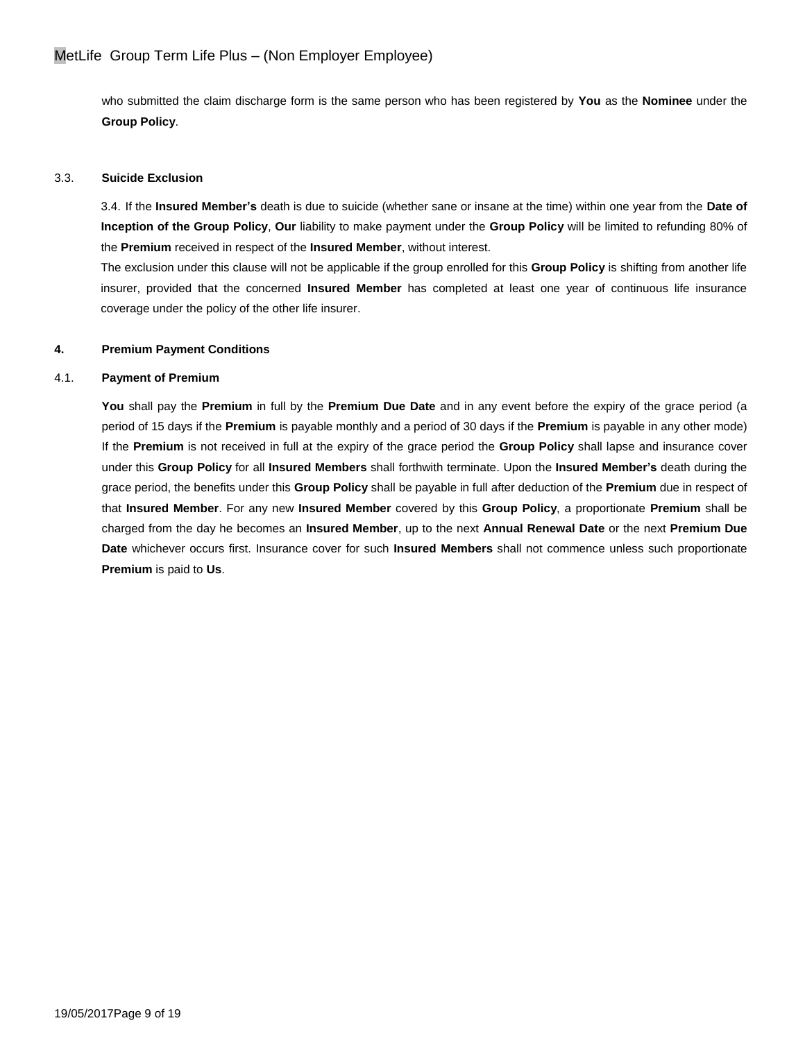who submitted the claim discharge form is the same person who has been registered by **You** as the **Nominee** under the **Group Policy**.

### 3.3. **Suicide Exclusion**

3.4. If the **Insured Member's** death is due to suicide (whether sane or insane at the time) within one year from the **Date of Inception of the Group Policy**, **Our** liability to make payment under the **Group Policy** will be limited to refunding 80% of the **Premium** received in respect of the **Insured Member**, without interest.

The exclusion under this clause will not be applicable if the group enrolled for this **Group Policy** is shifting from another life insurer, provided that the concerned **Insured Member** has completed at least one year of continuous life insurance coverage under the policy of the other life insurer.

### **4. Premium Payment Conditions**

### 4.1. **Payment of Premium**

**You** shall pay the **Premium** in full by the **Premium Due Date** and in any event before the expiry of the grace period (a period of 15 days if the **Premium** is payable monthly and a period of 30 days if the **Premium** is payable in any other mode) If the **Premium** is not received in full at the expiry of the grace period the **Group Policy** shall lapse and insurance cover under this **Group Policy** for all **Insured Members** shall forthwith terminate. Upon the **Insured Member's** death during the grace period, the benefits under this **Group Policy** shall be payable in full after deduction of the **Premium** due in respect of that **Insured Member**. For any new **Insured Member** covered by this **Group Policy**, a proportionate **Premium** shall be charged from the day he becomes an **Insured Member**, up to the next **Annual Renewal Date** or the next **Premium Due Date** whichever occurs first. Insurance cover for such **Insured Members** shall not commence unless such proportionate **Premium** is paid to **Us**.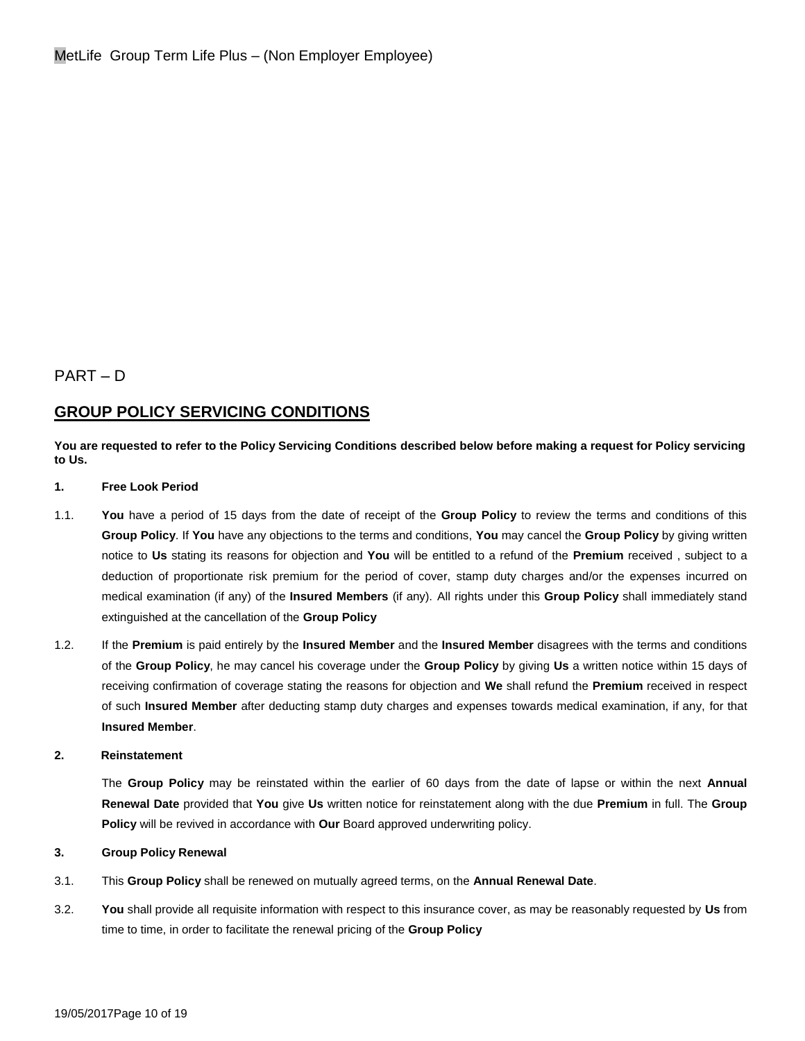# PART – D

# **GROUP POLICY SERVICING CONDITIONS**

### **You are requested to refer to the Policy Servicing Conditions described below before making a request for Policy servicing to Us.**

#### **1. Free Look Period**

- 1.1. **You** have a period of 15 days from the date of receipt of the **Group Policy** to review the terms and conditions of this **Group Policy**. If **You** have any objections to the terms and conditions, **You** may cancel the **Group Policy** by giving written notice to **Us** stating its reasons for objection and **You** will be entitled to a refund of the **Premium** received , subject to a deduction of proportionate risk premium for the period of cover, stamp duty charges and/or the expenses incurred on medical examination (if any) of the **Insured Members** (if any). All rights under this **Group Policy** shall immediately stand extinguished at the cancellation of the **Group Policy**
- 1.2. If the **Premium** is paid entirely by the **Insured Member** and the **Insured Member** disagrees with the terms and conditions of the **Group Policy**, he may cancel his coverage under the **Group Policy** by giving **Us** a written notice within 15 days of receiving confirmation of coverage stating the reasons for objection and **We** shall refund the **Premium** received in respect of such **Insured Member** after deducting stamp duty charges and expenses towards medical examination, if any, for that **Insured Member**.

#### **2. Reinstatement**

The **Group Policy** may be reinstated within the earlier of 60 days from the date of lapse or within the next **Annual Renewal Date** provided that **You** give **Us** written notice for reinstatement along with the due **Premium** in full. The **Group Policy** will be revived in accordance with **Our** Board approved underwriting policy.

### **3. Group Policy Renewal**

- 3.1. This **Group Policy** shall be renewed on mutually agreed terms, on the **Annual Renewal Date**.
- 3.2. **You** shall provide all requisite information with respect to this insurance cover, as may be reasonably requested by **Us** from time to time, in order to facilitate the renewal pricing of the **Group Policy**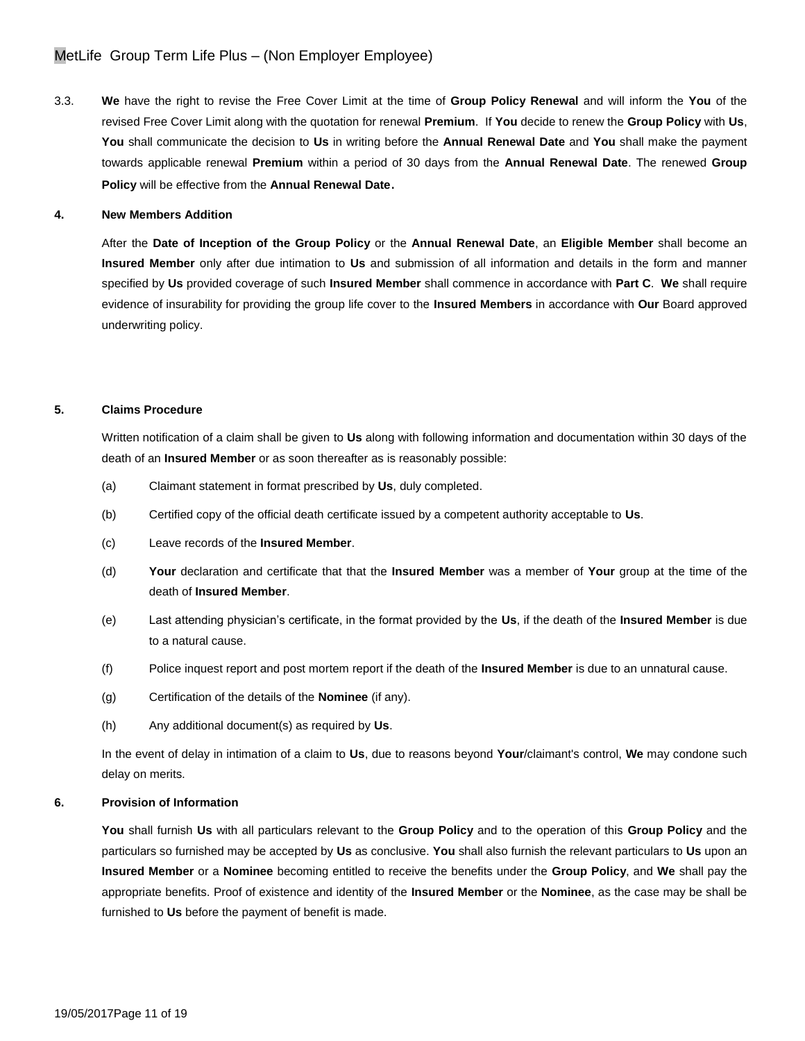3.3. **We** have the right to revise the Free Cover Limit at the time of **Group Policy Renewal** and will inform the **You** of the revised Free Cover Limit along with the quotation for renewal **Premium**. If **You** decide to renew the **Group Policy** with **Us**, **You** shall communicate the decision to **Us** in writing before the **Annual Renewal Date** and **You** shall make the payment towards applicable renewal **Premium** within a period of 30 days from the **Annual Renewal Date**. The renewed **Group Policy** will be effective from the **Annual Renewal Date**.

#### **4. New Members Addition**

After the **Date of Inception of the Group Policy** or the **Annual Renewal Date**, an **Eligible Member** shall become an **Insured Member** only after due intimation to **Us** and submission of all information and details in the form and manner specified by **Us** provided coverage of such **Insured Member** shall commence in accordance with **Part C**. **We** shall require evidence of insurability for providing the group life cover to the **Insured Members** in accordance with **Our** Board approved underwriting policy.

#### **5. Claims Procedure**

Written notification of a claim shall be given to **Us** along with following information and documentation within 30 days of the death of an **Insured Member** or as soon thereafter as is reasonably possible:

- (a) Claimant statement in format prescribed by **Us**, duly completed.
- (b) Certified copy of the official death certificate issued by a competent authority acceptable to **Us**.
- (c) Leave records of the **Insured Member**.
- (d) **Your** declaration and certificate that that the **Insured Member** was a member of **Your** group at the time of the death of **Insured Member**.
- (e) Last attending physician's certificate, in the format provided by the **Us**, if the death of the **Insured Member** is due to a natural cause.
- (f) Police inquest report and post mortem report if the death of the **Insured Member** is due to an unnatural cause.
- (g) Certification of the details of the **Nominee** (if any).
- (h) Any additional document(s) as required by **Us**.

In the event of delay in intimation of a claim to **Us**, due to reasons beyond **Your**/claimant's control, **We** may condone such delay on merits.

#### **6. Provision of Information**

**You** shall furnish **Us** with all particulars relevant to the **Group Policy** and to the operation of this **Group Policy** and the particulars so furnished may be accepted by **Us** as conclusive. **You** shall also furnish the relevant particulars to **Us** upon an **Insured Member** or a **Nominee** becoming entitled to receive the benefits under the **Group Policy**, and **We** shall pay the appropriate benefits. Proof of existence and identity of the **Insured Member** or the **Nominee**, as the case may be shall be furnished to **Us** before the payment of benefit is made.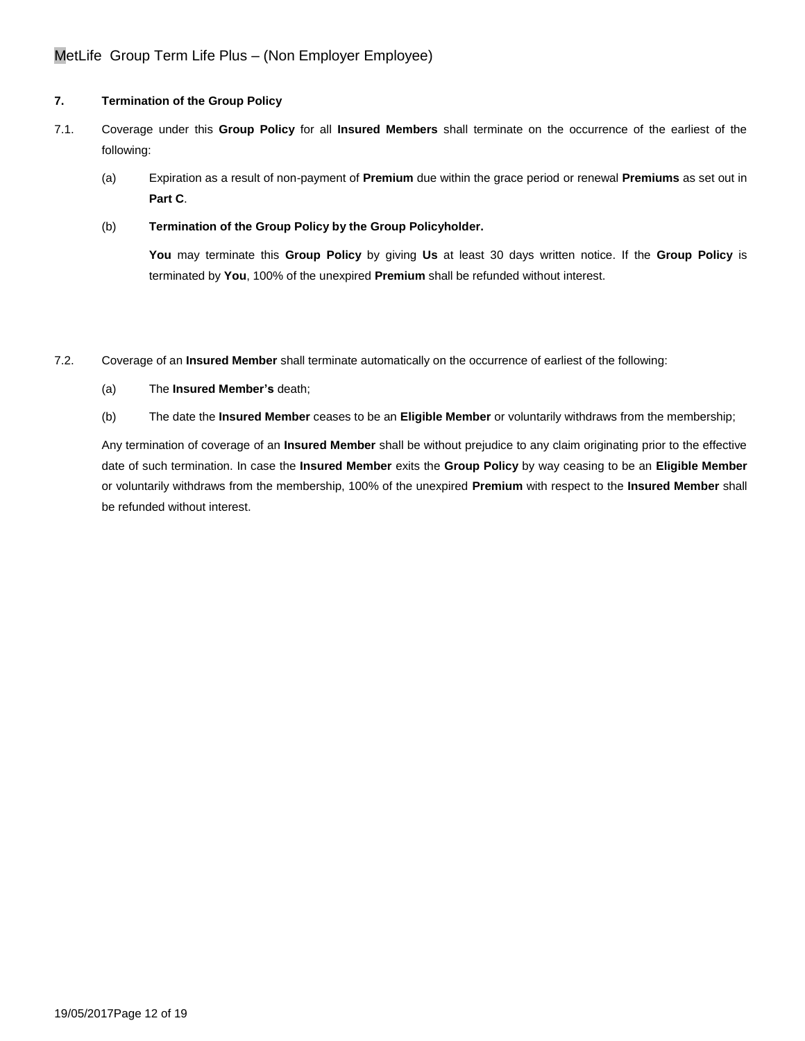## **7. Termination of the Group Policy**

- 7.1. Coverage under this **Group Policy** for all **Insured Members** shall terminate on the occurrence of the earliest of the following:
	- (a) Expiration as a result of non-payment of **Premium** due within the grace period or renewal **Premiums** as set out in **Part C**.
	- (b) **Termination of the Group Policy by the Group Policyholder.**

**You** may terminate this **Group Policy** by giving **Us** at least 30 days written notice. If the **Group Policy** is terminated by **You**, 100% of the unexpired **Premium** shall be refunded without interest.

7.2. Coverage of an **Insured Member** shall terminate automatically on the occurrence of earliest of the following:

- (a) The **Insured Member's** death;
- (b) The date the **Insured Member** ceases to be an **Eligible Member** or voluntarily withdraws from the membership;

Any termination of coverage of an **Insured Member** shall be without prejudice to any claim originating prior to the effective date of such termination. In case the **Insured Member** exits the **Group Policy** by way ceasing to be an **Eligible Member** or voluntarily withdraws from the membership, 100% of the unexpired **Premium** with respect to the **Insured Member** shall be refunded without interest.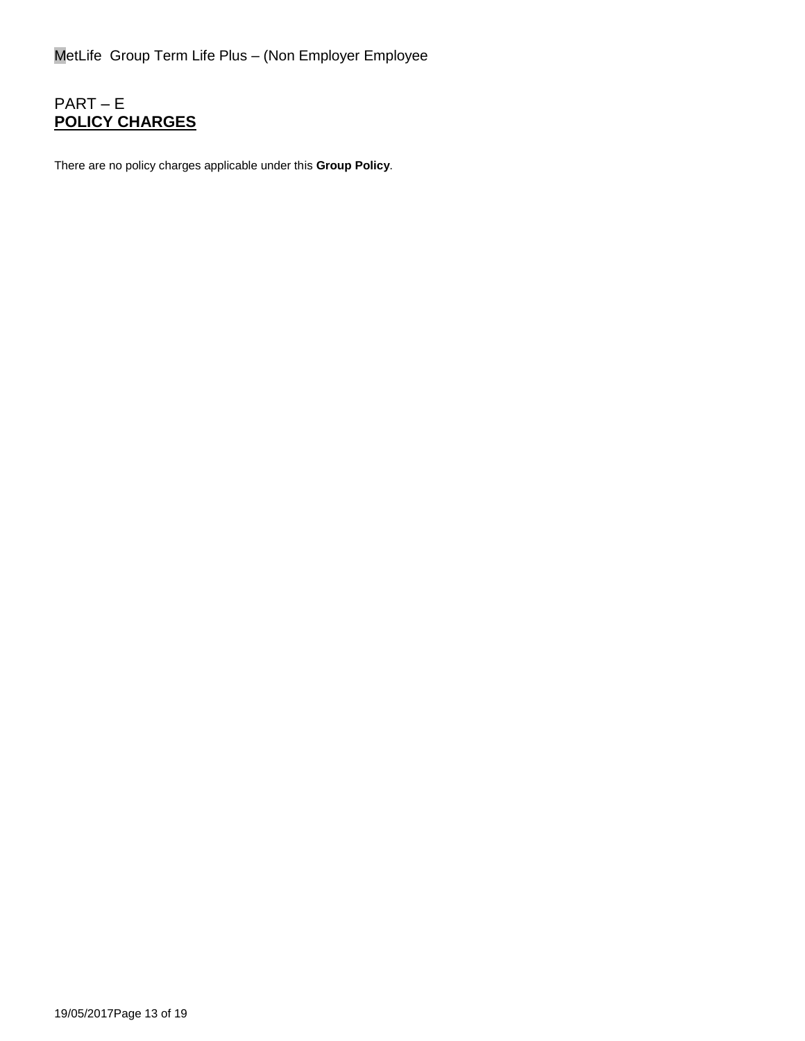# PART – E **POLICY CHARGES**

There are no policy charges applicable under this **Group Policy**.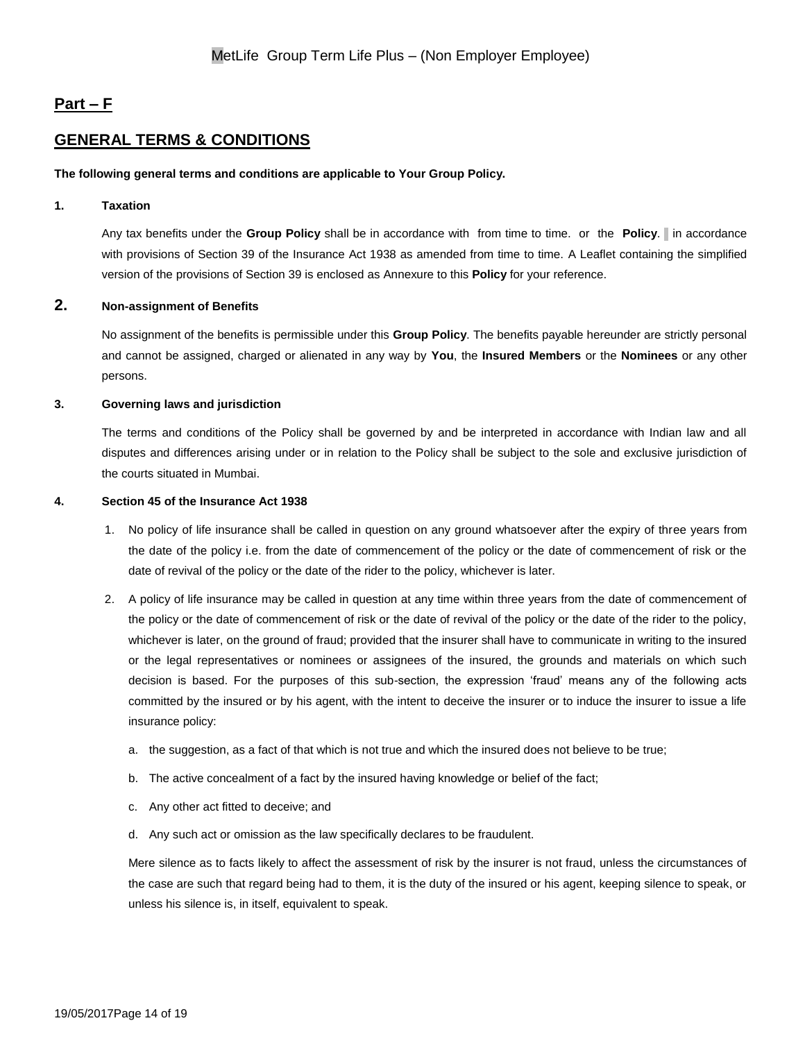# **Part – F**

# **GENERAL TERMS & CONDITIONS**

#### **The following general terms and conditions are applicable to Your Group Policy.**

#### **1. Taxation**

Any tax benefits under the **Group Policy** shall be in accordance with from time to time. or the **Policy**. In accordance with provisions of Section 39 of the Insurance Act 1938 as amended from time to time. A Leaflet containing the simplified version of the provisions of Section 39 is enclosed as Annexure to this **Policy** for your reference.

## **2. Non-assignment of Benefits**

No assignment of the benefits is permissible under this **Group Policy**. The benefits payable hereunder are strictly personal and cannot be assigned, charged or alienated in any way by **You**, the **Insured Members** or the **Nominees** or any other persons.

### **3. Governing laws and jurisdiction**

The terms and conditions of the Policy shall be governed by and be interpreted in accordance with Indian law and all disputes and differences arising under or in relation to the Policy shall be subject to the sole and exclusive jurisdiction of the courts situated in Mumbai.

#### **4. Section 45 of the Insurance Act 1938**

- 1. No policy of life insurance shall be called in question on any ground whatsoever after the expiry of three years from the date of the policy i.e. from the date of commencement of the policy or the date of commencement of risk or the date of revival of the policy or the date of the rider to the policy, whichever is later.
- 2. A policy of life insurance may be called in question at any time within three years from the date of commencement of the policy or the date of commencement of risk or the date of revival of the policy or the date of the rider to the policy, whichever is later, on the ground of fraud; provided that the insurer shall have to communicate in writing to the insured or the legal representatives or nominees or assignees of the insured, the grounds and materials on which such decision is based. For the purposes of this sub-section, the expression 'fraud' means any of the following acts committed by the insured or by his agent, with the intent to deceive the insurer or to induce the insurer to issue a life insurance policy:
	- a. the suggestion, as a fact of that which is not true and which the insured does not believe to be true;
	- b. The active concealment of a fact by the insured having knowledge or belief of the fact;
	- c. Any other act fitted to deceive; and
	- d. Any such act or omission as the law specifically declares to be fraudulent.

Mere silence as to facts likely to affect the assessment of risk by the insurer is not fraud, unless the circumstances of the case are such that regard being had to them, it is the duty of the insured or his agent, keeping silence to speak, or unless his silence is, in itself, equivalent to speak.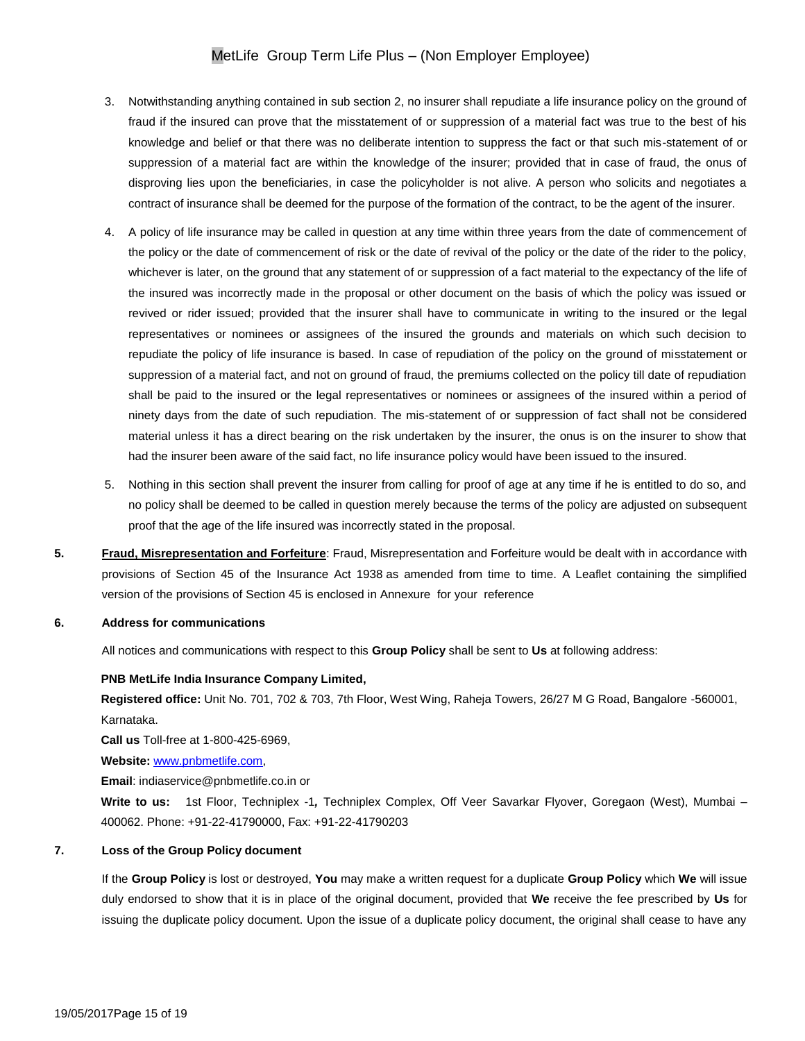- 3. Notwithstanding anything contained in sub section 2, no insurer shall repudiate a life insurance policy on the ground of fraud if the insured can prove that the misstatement of or suppression of a material fact was true to the best of his knowledge and belief or that there was no deliberate intention to suppress the fact or that such mis-statement of or suppression of a material fact are within the knowledge of the insurer; provided that in case of fraud, the onus of disproving lies upon the beneficiaries, in case the policyholder is not alive. A person who solicits and negotiates a contract of insurance shall be deemed for the purpose of the formation of the contract, to be the agent of the insurer.
- 4. A policy of life insurance may be called in question at any time within three years from the date of commencement of the policy or the date of commencement of risk or the date of revival of the policy or the date of the rider to the policy, whichever is later, on the ground that any statement of or suppression of a fact material to the expectancy of the life of the insured was incorrectly made in the proposal or other document on the basis of which the policy was issued or revived or rider issued; provided that the insurer shall have to communicate in writing to the insured or the legal representatives or nominees or assignees of the insured the grounds and materials on which such decision to repudiate the policy of life insurance is based. In case of repudiation of the policy on the ground of misstatement or suppression of a material fact, and not on ground of fraud, the premiums collected on the policy till date of repudiation shall be paid to the insured or the legal representatives or nominees or assignees of the insured within a period of ninety days from the date of such repudiation. The mis-statement of or suppression of fact shall not be considered material unless it has a direct bearing on the risk undertaken by the insurer, the onus is on the insurer to show that had the insurer been aware of the said fact, no life insurance policy would have been issued to the insured.
- 5. Nothing in this section shall prevent the insurer from calling for proof of age at any time if he is entitled to do so, and no policy shall be deemed to be called in question merely because the terms of the policy are adjusted on subsequent proof that the age of the life insured was incorrectly stated in the proposal.
- **5. Fraud, Misrepresentation and Forfeiture**: Fraud, Misrepresentation and Forfeiture would be dealt with in accordance with provisions of Section 45 of the Insurance Act 1938 as amended from time to time. A Leaflet containing the simplified version of the provisions of Section 45 is enclosed in Annexure for your reference

#### **6. Address for communications**

All notices and communications with respect to this **Group Policy** shall be sent to **Us** at following address:

#### **PNB MetLife India Insurance Company Limited,**

**Registered office:** Unit No. 701, 702 & 703, 7th Floor, West Wing, Raheja Towers, 26/27 M G Road, Bangalore -560001, Karnataka.

**Call us** Toll-free at 1-800-425-6969,

**Website:** [www.pnbmetlife.com,](http://www.pnbmetlife.com/)

**Email**: indiaservice@pnbmetlife.co.in or

**Write to us:** 1st Floor, Techniplex -1*,* Techniplex Complex, Off Veer Savarkar Flyover, Goregaon (West), Mumbai – 400062. Phone: +91-22-41790000, Fax: +91-22-41790203

#### **7. Loss of the Group Policy document**

If the **Group Policy** is lost or destroyed, **You** may make a written request for a duplicate **Group Policy** which **We** will issue duly endorsed to show that it is in place of the original document, provided that **We** receive the fee prescribed by **Us** for issuing the duplicate policy document. Upon the issue of a duplicate policy document, the original shall cease to have any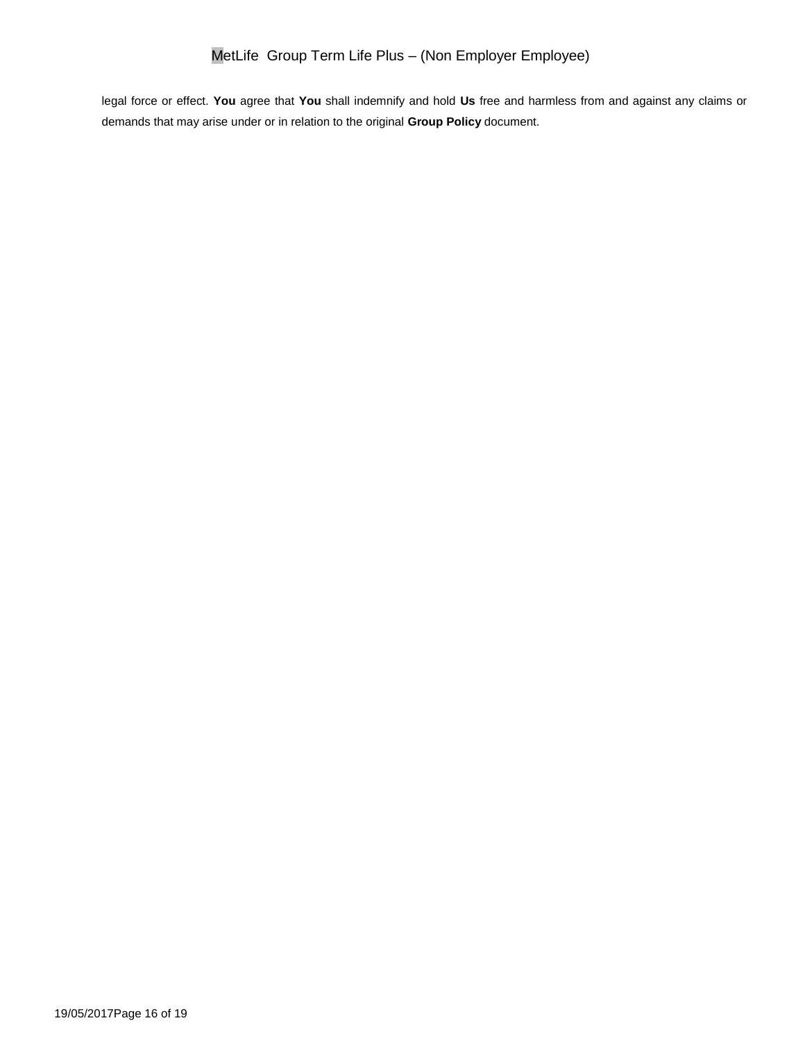legal force or effect. **You** agree that **You** shall indemnify and hold **Us** free and harmless from and against any claims or demands that may arise under or in relation to the original **Group Policy** document.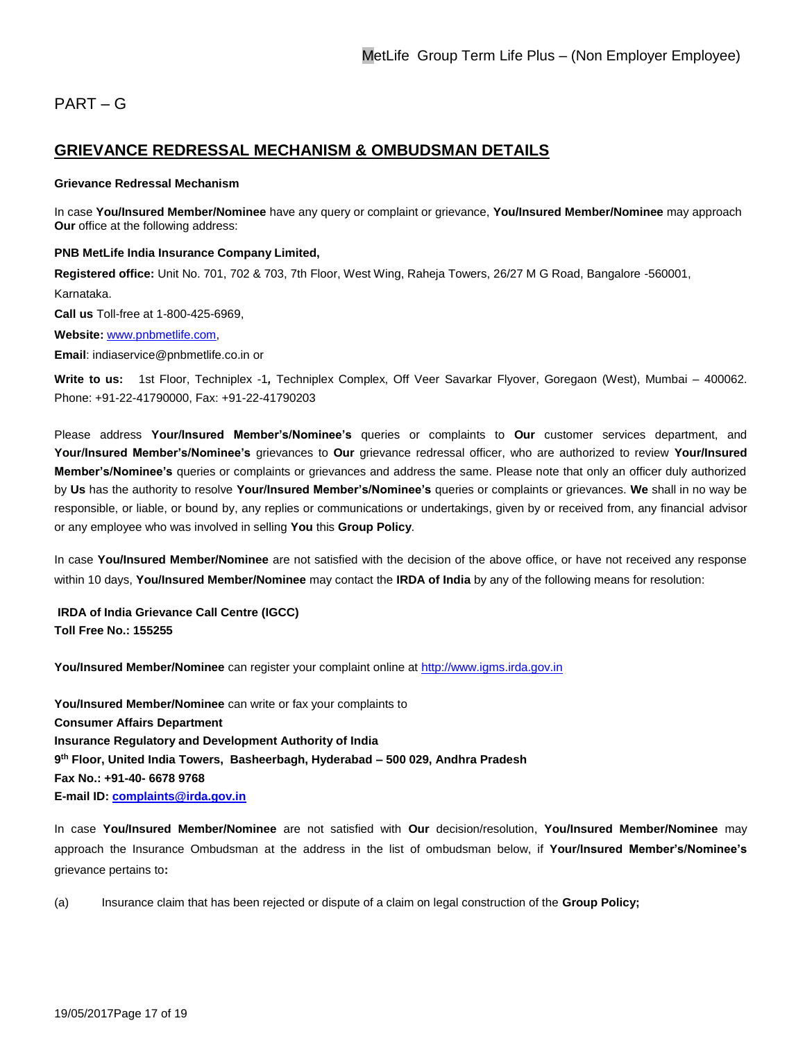# PART – G

# **GRIEVANCE REDRESSAL MECHANISM & OMBUDSMAN DETAILS**

#### **Grievance Redressal Mechanism**

In case **You/Insured Member/Nominee** have any query or complaint or grievance, **You/Insured Member/Nominee** may approach **Our** office at the following address:

#### **PNB MetLife India Insurance Company Limited,**

**Registered office:** Unit No. 701, 702 & 703, 7th Floor, West Wing, Raheja Towers, 26/27 M G Road, Bangalore -560001, Karnataka.

**Call us** Toll-free at 1-800-425-6969,

#### **Website:** [www.pnbmetlife.com,](http://www.pnbmetlife.com/)

**Email**: indiaservice@pnbmetlife.co.in or

**Write to us:** 1st Floor, Techniplex -1*,* Techniplex Complex, Off Veer Savarkar Flyover, Goregaon (West), Mumbai – 400062. Phone: +91-22-41790000, Fax: +91-22-41790203

Please address **Your/Insured Member's/Nominee's** queries or complaints to **Our** customer services department, and **Your/Insured Member's/Nominee's** grievances to **Our** grievance redressal officer, who are authorized to review **Your/Insured Member's/Nominee's** queries or complaints or grievances and address the same. Please note that only an officer duly authorized by **Us** has the authority to resolve **Your/Insured Member's/Nominee's** queries or complaints or grievances. **We** shall in no way be responsible, or liable, or bound by, any replies or communications or undertakings, given by or received from, any financial advisor or any employee who was involved in selling **You** this **Group Policy**.

In case **You/Insured Member/Nominee** are not satisfied with the decision of the above office, or have not received any response within 10 days, **You/Insured Member/Nominee** may contact the **IRDA of India** by any of the following means for resolution:

**IRDA of India Grievance Call Centre (IGCC) Toll Free No.: 155255**

**You/Insured Member/Nominee** can register your complaint online at [http://www.igms.irda.gov.in](http://www.igms.irda.gov.in/)

**You/Insured Member/Nominee** can write or fax your complaints to **Consumer Affairs Department Insurance Regulatory and Development Authority of India 9 th Floor, United India Towers, Basheerbagh, Hyderabad – 500 029, Andhra Pradesh Fax No.: +91-40- 6678 9768 E-mail ID[: complaints@irda.gov.in](mailto:complaints@irda.gov.in)**

In case **You/Insured Member/Nominee** are not satisfied with **Our** decision/resolution, **You/Insured Member/Nominee** may approach the Insurance Ombudsman at the address in the list of ombudsman below, if **Your/Insured Member's/Nominee's** grievance pertains to**:**

(a) Insurance claim that has been rejected or dispute of a claim on legal construction of the **Group Policy;**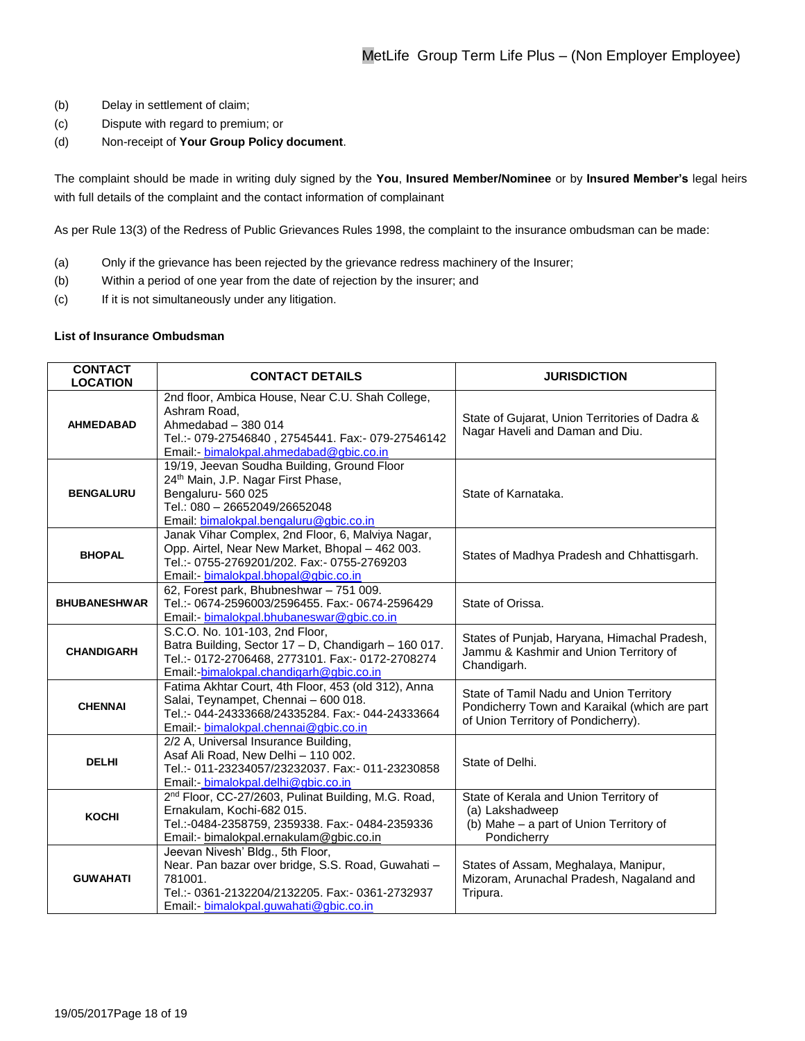- (b) Delay in settlement of claim;
- (c) Dispute with regard to premium; or
- (d) Non-receipt of **Your Group Policy document**.

The complaint should be made in writing duly signed by the **You**, **Insured Member/Nominee** or by **Insured Member's** legal heirs with full details of the complaint and the contact information of complainant

As per Rule 13(3) of the Redress of Public Grievances Rules 1998, the complaint to the insurance ombudsman can be made:

- (a) Only if the grievance has been rejected by the grievance redress machinery of the Insurer;
- (b) Within a period of one year from the date of rejection by the insurer; and
- (c) If it is not simultaneously under any litigation.

### **List of Insurance Ombudsman**

| <b>CONTACT</b><br><b>LOCATION</b> | <b>CONTACT DETAILS</b>                                                                                                                                                                         | <b>JURISDICTION</b>                                                                                                             |
|-----------------------------------|------------------------------------------------------------------------------------------------------------------------------------------------------------------------------------------------|---------------------------------------------------------------------------------------------------------------------------------|
| <b>AHMEDABAD</b>                  | 2nd floor, Ambica House, Near C.U. Shah College,<br>Ashram Road.<br>Ahmedabad - 380 014<br>Tel.:- 079-27546840, 27545441. Fax:- 079-27546142<br>Email: bimalokpal.ahmedabad@gbic.co.in         | State of Gujarat, Union Territories of Dadra &<br>Nagar Haveli and Daman and Diu.                                               |
| <b>BENGALURU</b>                  | 19/19, Jeevan Soudha Building, Ground Floor<br>24th Main, J.P. Nagar First Phase,<br>Bengaluru-560 025<br>Tel.: 080 - 26652049/26652048<br>Email: bimalokpal.bengaluru@gbic.co.in              | State of Karnataka.                                                                                                             |
| <b>BHOPAL</b>                     | Janak Vihar Complex, 2nd Floor, 6, Malviya Nagar,<br>Opp. Airtel, Near New Market, Bhopal - 462 003.<br>Tel.:- 0755-2769201/202. Fax:- 0755-2769203<br>Email: bimalokpal.bhopal@gbic.co.in     | States of Madhya Pradesh and Chhattisgarh.                                                                                      |
| <b>BHUBANESHWAR</b>               | 62, Forest park, Bhubneshwar - 751 009.<br>Tel.:- 0674-2596003/2596455. Fax:- 0674-2596429<br>Email:- bimalokpal.bhubaneswar@gbic.co.in                                                        | State of Orissa.                                                                                                                |
| <b>CHANDIGARH</b>                 | S.C.O. No. 101-103, 2nd Floor,<br>Batra Building, Sector 17 - D, Chandigarh - 160 017.<br>Tel.:- 0172-2706468, 2773101. Fax:- 0172-2708274<br>Email:-bimalokpal.chandigarh@gbic.co.in          | States of Punjab, Haryana, Himachal Pradesh,<br>Jammu & Kashmir and Union Territory of<br>Chandigarh.                           |
| <b>CHENNAI</b>                    | Fatima Akhtar Court, 4th Floor, 453 (old 312), Anna<br>Salai, Teynampet, Chennai - 600 018.<br>Tel.:- 044-24333668/24335284. Fax:- 044-24333664<br>Email:- bimalokpal.chennai@gbic.co.in       | State of Tamil Nadu and Union Territory<br>Pondicherry Town and Karaikal (which are part<br>of Union Territory of Pondicherry). |
| <b>DELHI</b>                      | 2/2 A, Universal Insurance Building,<br>Asaf Ali Road, New Delhi - 110 002.<br>Tel.:- 011-23234057/23232037. Fax:- 011-23230858<br>Email: - bimalokpal.delhi@gbic.co.in                        | State of Delhi.                                                                                                                 |
| <b>KOCHI</b>                      | 2 <sup>nd</sup> Floor, CC-27/2603, Pulinat Building, M.G. Road,<br>Ernakulam, Kochi-682 015.<br>Tel.:-0484-2358759, 2359338. Fax:- 0484-2359336<br>Email:- bimalokpal.ernakulam@gbic.co.in     | State of Kerala and Union Territory of<br>(a) Lakshadweep<br>(b) Mahe - a part of Union Territory of<br>Pondicherry             |
| <b>GUWAHATI</b>                   | Jeevan Nivesh' Bldg., 5th Floor,<br>Near. Pan bazar over bridge, S.S. Road, Guwahati -<br>781001.<br>Tel.:- 0361-2132204/2132205. Fax:- 0361-2732937<br>Email:- bimalokpal.guwahati@gbic.co.in | States of Assam, Meghalaya, Manipur,<br>Mizoram, Arunachal Pradesh, Nagaland and<br>Tripura.                                    |